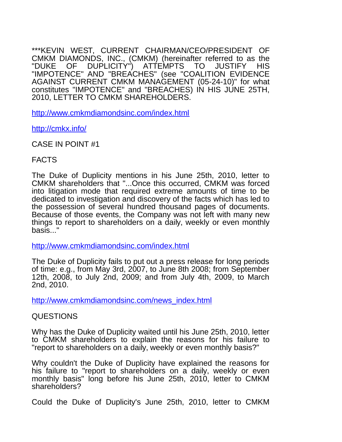\*\*\*KEVIN WEST, CURRENT CHAIRMAN/CEO/PRESIDENT OF CMKM DIAMONDS, INC., (CMKM) (hereinafter referred to as the "DUKE OF DUPLICITY") ATTEMPTS TO JUSTIFY HIS OF DUPLICITY") ATTEMPTS TO JUSTIFY HIS "IMPOTENCE" AND "BREACHES" (see "COALITION EVIDENCE AGAINST CURRENT CMKM MANAGEMENT (05-24-10)" for what constitutes "IMPOTENCE" and "BREACHES) IN HIS JUNE 25TH, 2010, LETTER TO CMKM SHAREHOLDERS.

<http://www.cmkmdiamondsinc.com/index.html>

<http://cmkx.info/>

CASE IN POINT #1

#### FACTS

The Duke of Duplicity mentions in his June 25th, 2010, letter to CMKM shareholders that "...Once this occurred, CMKM was forced into litigation mode that required extreme amounts of time to be dedicated to investigation and discovery of the facts which has led to the possession of several hundred thousand pages of documents. Because of those events, the Company was not left with many new things to report to shareholders on a daily, weekly or even monthly basis..."

<http://www.cmkmdiamondsinc.com/index.html>

The Duke of Duplicity fails to put out a press release for long periods of time: e.g., from May 3rd, 2007, to June 8th 2008; from September 12th, 2008, to July 2nd, 2009; and from July 4th, 2009, to March 2nd, 2010.

[http://www.cmkmdiamondsinc.com/news\\_index.html](http://www.cmkmdiamondsinc.com/news_index.html)

## QUESTIONS

Why has the Duke of Duplicity waited until his June 25th, 2010, letter to CMKM shareholders to explain the reasons for his failure to "report to shareholders on a daily, weekly or even monthly basis?"

Why couldn't the Duke of Duplicity have explained the reasons for his failure to "report to shareholders on a daily, weekly or even monthly basis" long before his June 25th, 2010, letter to CMKM shareholders?

Could the Duke of Duplicity's June 25th, 2010, letter to CMKM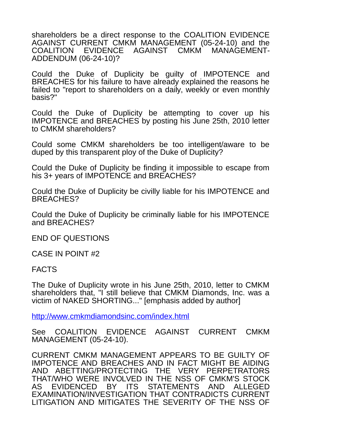shareholders be a direct response to the COALITION EVIDENCE AGAINST CURRENT CMKM MANAGEMENT (05-24-10) and the COALITION EVIDENCE AGAINST CMKM MANAGEMENT-ADDENDUM (06-24-10)?

Could the Duke of Duplicity be guilty of IMPOTENCE and BREACHES for his failure to have already explained the reasons he failed to "report to shareholders on a daily, weekly or even monthly basis?"

Could the Duke of Duplicity be attempting to cover up his IMPOTENCE and BREACHES by posting his June 25th, 2010 letter to CMKM shareholders?

Could some CMKM shareholders be too intelligent/aware to be duped by this transparent ploy of the Duke of Duplicity?

Could the Duke of Duplicity be finding it impossible to escape from his 3+ years of IMPOTENCE and BREACHES?

Could the Duke of Duplicity be civilly liable for his IMPOTENCE and BREACHES?

Could the Duke of Duplicity be criminally liable for his IMPOTENCE and BREACHES?

END OF QUESTIONS

CASE IN POINT #2

FACTS

The Duke of Duplicity wrote in his June 25th, 2010, letter to CMKM shareholders that, "I still believe that CMKM Diamonds, Inc. was a victim of NAKED SHORTING..." [emphasis added by author]

<http://www.cmkmdiamondsinc.com/index.html>

See COALITION EVIDENCE AGAINST CURRENT CMKM MANAGEMENT (05-24-10).

CURRENT CMKM MANAGEMENT APPEARS TO BE GUILTY OF IMPOTENCE AND BREACHES AND IN FACT MIGHT BE AIDING AND ABETTING/PROTECTING THE VERY PERPETRATORS THAT/WHO WERE INVOLVED IN THE NSS OF CMKM'S STOCK AS EVIDENCED BY ITS STATEMENTS AND ALLEGED EXAMINATION/INVESTIGATION THAT CONTRADICTS CURRENT LITIGATION AND MITIGATES THE SEVERITY OF THE NSS OF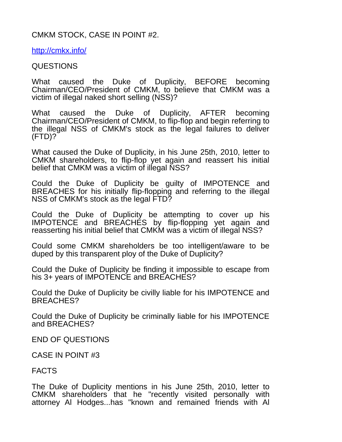# CMKM STOCK, CASE IN POINT #2.

<http://cmkx.info/>

### QUESTIONS

What caused the Duke of Duplicity, BEFORE becoming Chairman/CEO/President of CMKM, to believe that CMKM was a victim of illegal naked short selling (NSS)?

What caused the Duke of Duplicity, AFTER becoming Chairman/CEO/President of CMKM, to flip-flop and begin referring to the illegal NSS of CMKM's stock as the legal failures to deliver (FTD)?

What caused the Duke of Duplicity, in his June 25th, 2010, letter to CMKM shareholders, to flip-flop yet again and reassert his initial belief that CMKM was a victim of illegal NSS?

Could the Duke of Duplicity be guilty of IMPOTENCE and BREACHES for his initially flip-flopping and referring to the illegal NSS of CMKM's stock as the legal FTD?

Could the Duke of Duplicity be attempting to cover up his IMPOTENCE and BREACHES by flip-flopping yet again and reasserting his initial belief that CMKM was a victim of illegal NSS?

Could some CMKM shareholders be too intelligent/aware to be duped by this transparent ploy of the Duke of Duplicity?

Could the Duke of Duplicity be finding it impossible to escape from his 3+ years of IMPOTENCE and BREACHES?

Could the Duke of Duplicity be civilly liable for his IMPOTENCE and BREACHES?

Could the Duke of Duplicity be criminally liable for his IMPOTENCE and BREACHES?

END OF QUESTIONS

CASE IN POINT #3

## FACTS

The Duke of Duplicity mentions in his June 25th, 2010, letter to CMKM shareholders that he "recently visited personally with attorney Al Hodges...has "known and remained friends with Al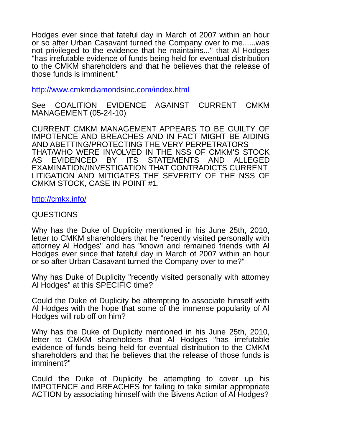Hodges ever since that fateful day in March of 2007 within an hour or so after Urban Casavant turned the Company over to me......was not privileged to the evidence that he maintains..." that Al Hodges "has irrefutable evidence of funds being held for eventual distribution to the CMKM shareholders and that he believes that the release of those funds is imminent."

<http://www.cmkmdiamondsinc.com/index.html>

See COALITION EVIDENCE AGAINST CURRENT CMKM MANAGEMENT (05-24-10)

CURRENT CMKM MANAGEMENT APPEARS TO BE GUILTY OF IMPOTENCE AND BREACHES AND IN FACT MIGHT BE AIDING AND ABETTING/PROTECTING THE VERY PERPETRATORS THAT/WHO WERE INVOLVED IN THE NSS OF CMKM'S STOCK AS EVIDENCED BY ITS STATEMENTS AND ALLEGED EXAMINATION/INVESTIGATION THAT CONTRADICTS CURRENT LITIGATION AND MITIGATES THE SEVERITY OF THE NSS OF CMKM STOCK, CASE IN POINT #1.

<http://cmkx.info/>

QUESTIONS

Why has the Duke of Duplicity mentioned in his June 25th, 2010, letter to CMKM shareholders that he "recently visited personally with attorney Al Hodges" and has "known and remained friends with Al Hodges ever since that fateful day in March of 2007 within an hour or so after Urban Casavant turned the Company over to me?"

Why has Duke of Duplicity "recently visited personally with attorney Al Hodges" at this SPECIFIC time?

Could the Duke of Duplicity be attempting to associate himself with Al Hodges with the hope that some of the immense popularity of Al Hodges will rub off on him?

Why has the Duke of Duplicity mentioned in his June 25th, 2010, letter to CMKM shareholders that Al Hodges "has irrefutable evidence of funds being held for eventual distribution to the CMKM shareholders and that he believes that the release of those funds is imminent?"

Could the Duke of Duplicity be attempting to cover up his IMPOTENCE and BREACHES for failing to take similar appropriate ACTION by associating himself with the Bivens Action of Al Hodges?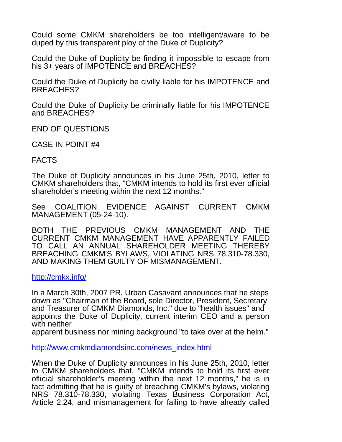Could some CMKM shareholders be too intelligent/aware to be duped by this transparent ploy of the Duke of Duplicity?

Could the Duke of Duplicity be finding it impossible to escape from his 3+ years of IMPOTENCE and BREACHES?

Could the Duke of Duplicity be civilly liable for his IMPOTENCE and BREACHES?

Could the Duke of Duplicity be criminally liable for his IMPOTENCE and BREACHES?

END OF QUESTIONS

CASE IN POINT #4

FACTS

The Duke of Duplicity announces in his June 25th, 2010, letter to CMKM shareholders that, "CMKM intends to hold its first ever official shareholder's meeting within the next 12 months."

See COALITION EVIDENCE AGAINST CURRENT CMKM MANAGEMENT (05-24-10).

BOTH THE PREVIOUS CMKM MANAGEMENT AND THE CURRENT CMKM MANAGEMENT HAVE APPARENTLY FAILED TO CALL AN ANNUAL SHAREHOLDER MEETING THEREBY BREACHING CMKM'S BYLAWS, VIOLATING NRS 78.310-78.330, AND MAKING THEM GUILTY OF MISMANAGEMENT.

<http://cmkx.info/>

In a March 30th, 2007 PR, Urban Casavant announces that he steps down as "Chairman of the Board, sole Director, President, Secretary and Treasurer of CMKM Diamonds, Inc." due to "health issues" and appoints the Duke of Duplicity, current interim CEO and a person with neither

apparent business nor mining background "to take over at the helm."

[http://www.cmkmdiamondsinc.com/news\\_index.html](http://www.cmkmdiamondsinc.com/news_index.html)

When the Duke of Duplicity announces in his June 25th, 2010, letter to CMKM shareholders that, "CMKM intends to hold its first ever official shareholder's meeting within the next 12 months," he is in fact admitting that he is guilty of breaching CMKM's bylaws, violating NRS 78.310-78.330, violating Texas Business Corporation Act, Article 2.24, and mismanagement for failing to have already called